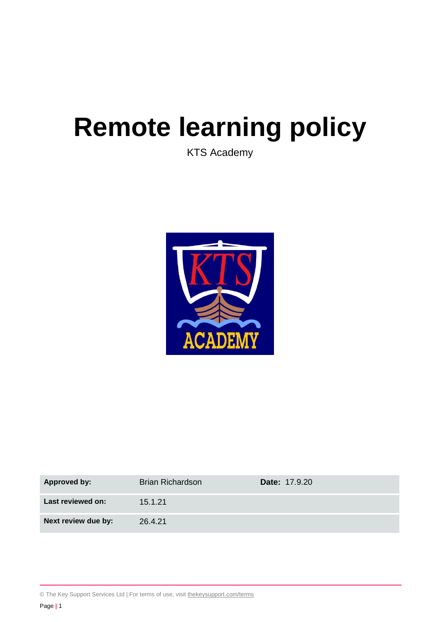# **Remote learning policy**

KTS Academy



| <b>Approved by:</b> | <b>Brian Richardson</b> | <b>Date: 17.9.20</b> |
|---------------------|-------------------------|----------------------|
| Last reviewed on:   | 15.1.21                 |                      |
| Next review due by: | 26.4.21                 |                      |

© The Key Support Services Ltd | For terms of use, visit [thekeysupport.com/terms](https://thekeysupport.com/terms-of-use)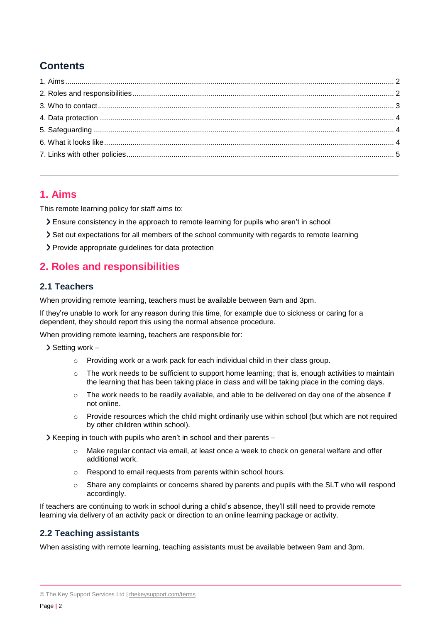# **Contents**

## <span id="page-1-0"></span>**1. Aims**

This remote learning policy for staff aims to:

- Ensure consistency in the approach to remote learning for pupils who aren't in school
- Set out expectations for all members of the school community with regards to remote learning
- Provide appropriate guidelines for data protection

# <span id="page-1-1"></span>**2. Roles and responsibilities**

#### **2.1 Teachers**

When providing remote learning, teachers must be available between 9am and 3pm.

If they're unable to work for any reason during this time, for example due to sickness or caring for a dependent, they should report this using the normal absence procedure.

When providing remote learning, teachers are responsible for:

 $\triangleright$  Setting work –

- o Providing work or a work pack for each individual child in their class group.
- $\circ$  The work needs to be sufficient to support home learning; that is, enough activities to maintain the learning that has been taking place in class and will be taking place in the coming days.
- $\circ$  The work needs to be readily available, and able to be delivered on day one of the absence if not online.
- $\circ$  Provide resources which the child might ordinarily use within school (but which are not required by other children within school).

 $\triangleright$  Keeping in touch with pupils who aren't in school and their parents –

- $\circ$  Make regular contact via email, at least once a week to check on general welfare and offer additional work.
- o Respond to email requests from parents within school hours.
- $\circ$  Share any complaints or concerns shared by parents and pupils with the SLT who will respond accordingly.

If teachers are continuing to work in school during a child's absence, they'll still need to provide remote learning via delivery of an activity pack or direction to an online learning package or activity.

### **2.2 Teaching assistants**

When assisting with remote learning, teaching assistants must be available between 9am and 3pm.

<sup>©</sup> The Key Support Services Ltd | [thekeysupport.com/terms](https://thekeysupport.com/terms-of-use)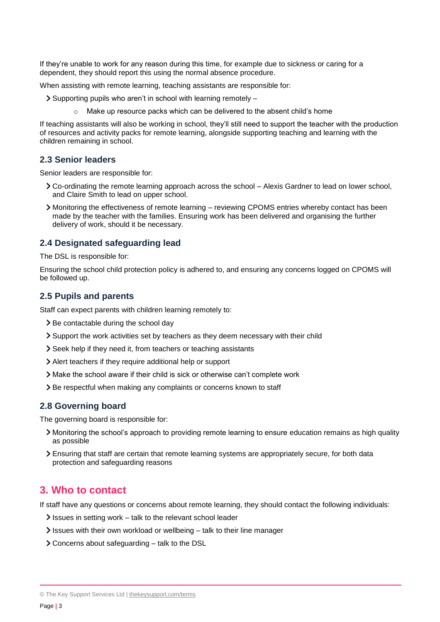If they're unable to work for any reason during this time, for example due to sickness or caring for a dependent, they should report this using the normal absence procedure.

When assisting with remote learning, teaching assistants are responsible for:

- Supporting pupils who aren't in school with learning remotely
	- o Make up resource packs which can be delivered to the absent child's home

If teaching assistants will also be working in school, they'll still need to support the teacher with the production of resources and activity packs for remote learning, alongside supporting teaching and learning with the children remaining in school.

#### **2.3 Senior leaders**

Senior leaders are responsible for:

- Co-ordinating the remote learning approach across the school Alexis Gardner to lead on lower school, and Claire Smith to lead on upper school.
- Monitoring the effectiveness of remote learning reviewing CPOMS entries whereby contact has been made by the teacher with the families. Ensuring work has been delivered and organising the further delivery of work, should it be necessary.

#### **2.4 Designated safeguarding lead**

The DSL is responsible for:

Ensuring the school child protection policy is adhered to, and ensuring any concerns logged on CPOMS will be followed up.

#### **2.5 Pupils and parents**

Staff can expect parents with children learning remotely to:

- $\geq$  Be contactable during the school day
- Support the work activities set by teachers as they deem necessary with their child
- Seek help if they need it, from teachers or teaching assistants
- Alert teachers if they require additional help or support
- Make the school aware if their child is sick or otherwise can't complete work
- > Be respectful when making any complaints or concerns known to staff

#### **2.8 Governing board**

The governing board is responsible for:

- Monitoring the school's approach to providing remote learning to ensure education remains as high quality as possible
- Ensuring that staff are certain that remote learning systems are appropriately secure, for both data protection and safeguarding reasons

#### <span id="page-2-0"></span>**3. Who to contact**

If staff have any questions or concerns about remote learning, they should contact the following individuals:

- Issues in setting work talk to the relevant school leader
- $\sum$  Issues with their own workload or wellbeing talk to their line manager
- Concerns about safeguarding talk to the DSL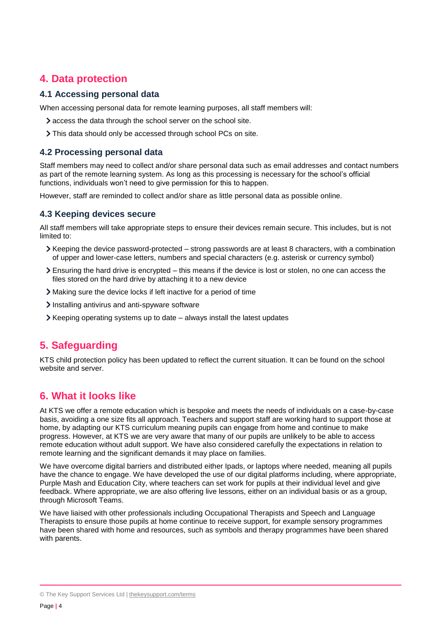# <span id="page-3-0"></span>**4. Data protection**

#### **4.1 Accessing personal data**

When accessing personal data for remote learning purposes, all staff members will:

- access the data through the school server on the school site.
- This data should only be accessed through school PCs on site.

#### **4.2 Processing personal data**

Staff members may need to collect and/or share personal data such as email addresses and contact numbers as part of the remote learning system. As long as this processing is necessary for the school's official functions, individuals won't need to give permission for this to happen.

However, staff are reminded to collect and/or share as little personal data as possible online.

#### **4.3 Keeping devices secure**

All staff members will take appropriate steps to ensure their devices remain secure. This includes, but is not limited to:

- $\triangleright$  Keeping the device password-protected strong passwords are at least 8 characters, with a combination of upper and lower-case letters, numbers and special characters (e.g. asterisk or currency symbol)
- Ensuring the hard drive is encrypted this means if the device is lost or stolen, no one can access the files stored on the hard drive by attaching it to a new device
- Making sure the device locks if left inactive for a period of time
- Installing antivirus and anti-spyware software
- $\triangleright$  Keeping operating systems up to date always install the latest updates

# <span id="page-3-1"></span>**5. Safeguarding**

KTS child protection policy has been updated to reflect the current situation. It can be found on the school website and server.

# <span id="page-3-2"></span>**6. What it looks like**

At KTS we offer a remote education which is bespoke and meets the needs of individuals on a case-by-case basis, avoiding a one size fits all approach. Teachers and support staff are working hard to support those at home, by adapting our KTS curriculum meaning pupils can engage from home and continue to make progress. However, at KTS we are very aware that many of our pupils are unlikely to be able to access remote education without adult support. We have also considered carefully the expectations in relation to remote learning and the significant demands it may place on families.

We have overcome digital barriers and distributed either Ipads, or laptops where needed, meaning all pupils have the chance to engage. We have developed the use of our digital platforms including, where appropriate, Purple Mash and Education City, where teachers can set work for pupils at their individual level and give feedback. Where appropriate, we are also offering live lessons, either on an individual basis or as a group, through Microsoft Teams.

We have liaised with other professionals including Occupational Therapists and Speech and Language Therapists to ensure those pupils at home continue to receive support, for example sensory programmes have been shared with home and resources, such as symbols and therapy programmes have been shared with parents.

<sup>©</sup> The Key Support Services Ltd | [thekeysupport.com/terms](https://thekeysupport.com/terms-of-use)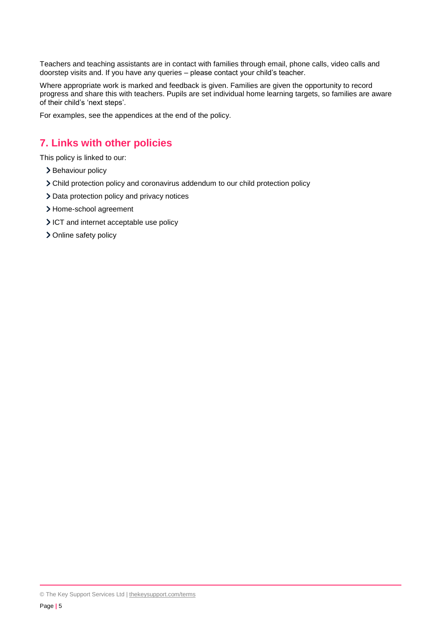Teachers and teaching assistants are in contact with families through email, phone calls, video calls and doorstep visits and. If you have any queries – please contact your child's teacher.

Where appropriate work is marked and feedback is given. Families are given the opportunity to record progress and share this with teachers. Pupils are set individual home learning targets, so families are aware of their child's 'next steps'.

For examples, see the appendices at the end of the policy.

## <span id="page-4-0"></span>**7. Links with other policies**

This policy is linked to our:

- > Behaviour policy
- Child protection policy and coronavirus addendum to our child protection policy
- > Data protection policy and privacy notices
- > Home-school agreement
- ICT and internet acceptable use policy
- > Online safety policy

<sup>©</sup> The Key Support Services Ltd | [thekeysupport.com/terms](https://thekeysupport.com/terms-of-use)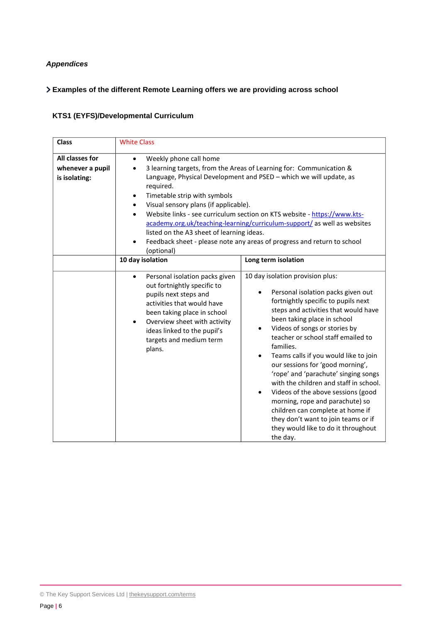## *Appendices*

## **Examples of the different Remote Learning offers we are providing across school**

## **KTS1 (EYFS)/Developmental Curriculum**

| <b>Class</b>                                         | <b>White Class</b>                                                                                                                                                                                                                                                                                                                                                                                                                                                                                                                                                                |                                                                                                                                                                                                                                                                                                                                                                                                                                                                                                                                                                                                                                                                               |
|------------------------------------------------------|-----------------------------------------------------------------------------------------------------------------------------------------------------------------------------------------------------------------------------------------------------------------------------------------------------------------------------------------------------------------------------------------------------------------------------------------------------------------------------------------------------------------------------------------------------------------------------------|-------------------------------------------------------------------------------------------------------------------------------------------------------------------------------------------------------------------------------------------------------------------------------------------------------------------------------------------------------------------------------------------------------------------------------------------------------------------------------------------------------------------------------------------------------------------------------------------------------------------------------------------------------------------------------|
| All classes for<br>whenever a pupil<br>is isolating: | Weekly phone call home<br>$\bullet$<br>3 learning targets, from the Areas of Learning for: Communication &<br>Language, Physical Development and PSED - which we will update, as<br>required.<br>Timetable strip with symbols<br>$\bullet$<br>Visual sensory plans (if applicable).<br>Website links - see curriculum section on KTS website - https://www.kts-<br>academy.org.uk/teaching-learning/curriculum-support/ as well as websites<br>listed on the A3 sheet of learning ideas.<br>Feedback sheet - please note any areas of progress and return to school<br>(optional) |                                                                                                                                                                                                                                                                                                                                                                                                                                                                                                                                                                                                                                                                               |
|                                                      | 10 day isolation                                                                                                                                                                                                                                                                                                                                                                                                                                                                                                                                                                  | Long term isolation                                                                                                                                                                                                                                                                                                                                                                                                                                                                                                                                                                                                                                                           |
|                                                      | Personal isolation packs given<br>$\bullet$<br>out fortnightly specific to<br>pupils next steps and<br>activities that would have<br>been taking place in school<br>Overview sheet with activity<br>$\bullet$<br>ideas linked to the pupil's<br>targets and medium term<br>plans.                                                                                                                                                                                                                                                                                                 | 10 day isolation provision plus:<br>Personal isolation packs given out<br>fortnightly specific to pupils next<br>steps and activities that would have<br>been taking place in school<br>Videos of songs or stories by<br>٠<br>teacher or school staff emailed to<br>families.<br>Teams calls if you would like to join<br>$\bullet$<br>our sessions for 'good morning',<br>'rope' and 'parachute' singing songs<br>with the children and staff in school.<br>Videos of the above sessions (good<br>$\bullet$<br>morning, rope and parachute) so<br>children can complete at home if<br>they don't want to join teams or if<br>they would like to do it throughout<br>the day. |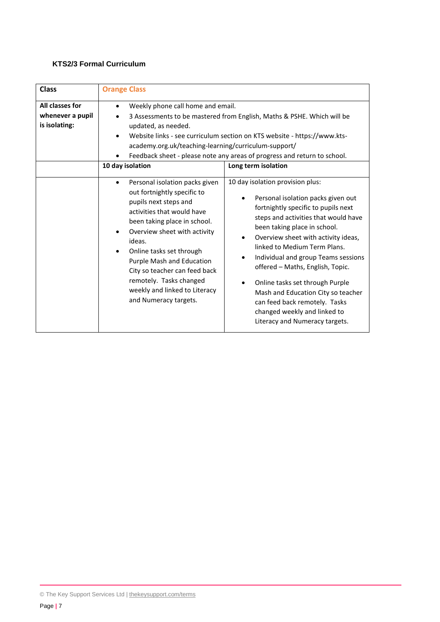#### **KTS2/3 Formal Curriculum**

| <b>Class</b>                                         | <b>Orange Class</b>                                                                                                                                                                                                                                                                                                                                                                        |                                                                                                                                                                                                                                                                                                                                                                                                                                                                                                                     |  |
|------------------------------------------------------|--------------------------------------------------------------------------------------------------------------------------------------------------------------------------------------------------------------------------------------------------------------------------------------------------------------------------------------------------------------------------------------------|---------------------------------------------------------------------------------------------------------------------------------------------------------------------------------------------------------------------------------------------------------------------------------------------------------------------------------------------------------------------------------------------------------------------------------------------------------------------------------------------------------------------|--|
| All classes for<br>whenever a pupil<br>is isolating: | Weekly phone call home and email.<br>$\bullet$<br>3 Assessments to be mastered from English, Maths & PSHE. Which will be<br>updated, as needed.<br>Website links - see curriculum section on KTS website - https://www.kts-<br>$\bullet$<br>academy.org.uk/teaching-learning/curriculum-support/<br>Feedback sheet - please note any areas of progress and return to school.               |                                                                                                                                                                                                                                                                                                                                                                                                                                                                                                                     |  |
|                                                      | 10 day isolation                                                                                                                                                                                                                                                                                                                                                                           | Long term isolation                                                                                                                                                                                                                                                                                                                                                                                                                                                                                                 |  |
|                                                      | Personal isolation packs given<br>$\bullet$<br>out fortnightly specific to<br>pupils next steps and<br>activities that would have<br>been taking place in school.<br>Overview sheet with activity<br>ideas.<br>Online tasks set through<br>Purple Mash and Education<br>City so teacher can feed back<br>remotely. Tasks changed<br>weekly and linked to Literacy<br>and Numeracy targets. | 10 day isolation provision plus:<br>Personal isolation packs given out<br>fortnightly specific to pupils next<br>steps and activities that would have<br>been taking place in school.<br>Overview sheet with activity ideas,<br>linked to Medium Term Plans.<br>Individual and group Teams sessions<br>offered - Maths, English, Topic.<br>Online tasks set through Purple<br>Mash and Education City so teacher<br>can feed back remotely. Tasks<br>changed weekly and linked to<br>Literacy and Numeracy targets. |  |

© The Key Support Services Ltd | [thekeysupport.com/terms](https://thekeysupport.com/terms-of-use)